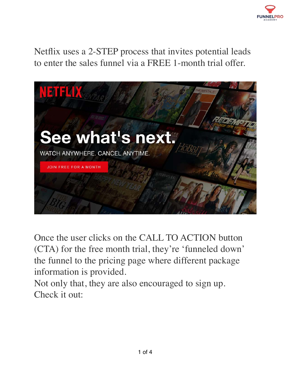

Netflix uses a 2-STEP process that invites potential leads to enter the sales funnel via a FREE 1-month trial offer.



Once the user clicks on the CALL TO ACTION button (CTA) for the free month trial, they're 'funneled down' the funnel to the pricing page where different package information is provided.

Not only that, they are also encouraged to sign up. Check it out: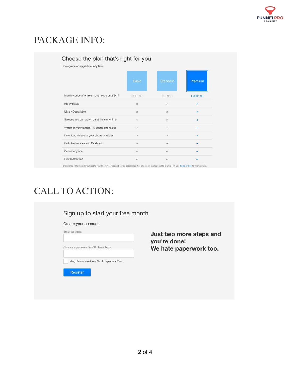

## PACKAGE INFO:

| Downgrade or upgrade at any time              |                |                |              |
|-----------------------------------------------|----------------|----------------|--------------|
|                                               | <b>Basic</b>   | Standard       | Premium      |
| Monthly price after free month ends on 2/9/17 | <b>EUR7.99</b> | <b>EUR9.99</b> | EUR11.99     |
| HD available                                  | $\times$       | ✓              | ٧            |
| Ultra HD available                            | $\times$       | $\times$       |              |
| Screens you can watch on at the same time     | $\overline{1}$ | $\overline{2}$ | 4            |
| Watch on your laptop, TV, phone and tablet    | Ù              | s.             | ✓            |
| Download videos to your phone or tablet       | ✓              | ✓              | $\checkmark$ |
| Unlimited movies and TV shows                 | ✓              | ✓              | ✓            |
| Cancel anytime                                | ✓              | v              |              |

ce and device capab es. Not all content available in HD or Ultra HD. See To

## CALL TO ACTION:

| Create your account:                         |                         |
|----------------------------------------------|-------------------------|
| Email Address                                | Just two more steps and |
|                                              | you're done!            |
| Choose a password (4-50 characters)          | We hate paperwork too.  |
| Yes, please email me Netflix special offers. |                         |
|                                              |                         |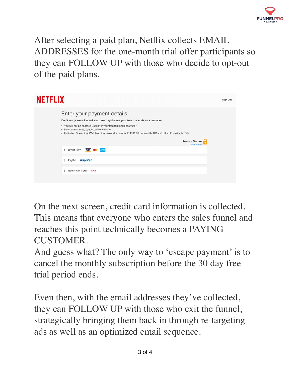

After selecting a paid plan, Netflix collects EMAIL ADDRESSES for the one-month trial offer participants so they can FOLLOW UP with those who decide to opt-out of the paid plans.

| <b>NETFLIX</b> |                                                                                                                                                                                                                                                                                                                                                                                                                                            | Sign Out |
|----------------|--------------------------------------------------------------------------------------------------------------------------------------------------------------------------------------------------------------------------------------------------------------------------------------------------------------------------------------------------------------------------------------------------------------------------------------------|----------|
|                | Enter your payment details<br>Don't worry, we will email you three days before your free trial ends as a reminder.<br>. You will not be charged until after your free trial ends on 2/9/17<br>. No commitments, cancel online anytime<br>. Unlimited Streaming. Watch on 4 screens at a time for EUR11.99 per month. HD and Ultra HD available. Edit<br><b>Secure Server</b><br>Tell me more<br>Credit Card<br><b>ANKIX</b><br><b>VISA</b> |          |
|                | <b>PayPal</b><br>PayPal<br>Netflix Gift Card<br><b>NETFLIX</b>                                                                                                                                                                                                                                                                                                                                                                             |          |

On the next screen, credit card information is collected. This means that everyone who enters the sales funnel and reaches this point technically becomes a PAYING CUSTOMER.

And guess what? The only way to 'escape payment' is to cancel the monthly subscription before the 30 day free trial period ends.

Even then, with the email addresses they've collected, they can FOLLOW UP with those who exit the funnel, strategically bringing them back in through re-targeting ads as well as an optimized email sequence.